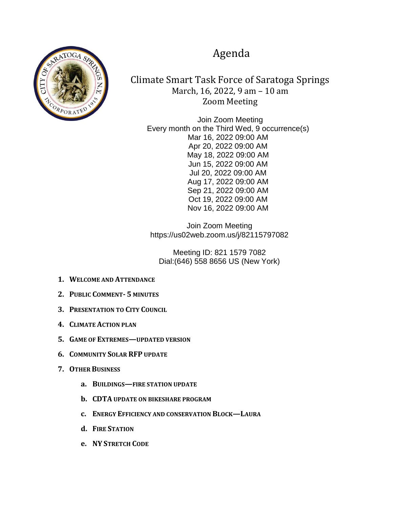## Agenda



Climate Smart Task Force of Saratoga Springs March, 16, 2022, 9 am – 10 am Zoom Meeting

Join Zoom Meeting Every month on the Third Wed, 9 occurrence(s) Mar 16, 2022 09:00 AM Apr 20, 2022 09:00 AM May 18, 2022 09:00 AM Jun 15, 2022 09:00 AM Jul 20, 2022 09:00 AM Aug 17, 2022 09:00 AM Sep 21, 2022 09:00 AM Oct 19, 2022 09:00 AM Nov 16, 2022 09:00 AM

Join Zoom Meeting https://us02web.zoom.us/j/82115797082

Meeting ID: 821 1579 7082 Dial:(646) 558 8656 US (New York)

- **1. WELCOME AND ATTENDANCE**
- **2. PUBLIC COMMENT- 5 MINUTES**
- **3. PRESENTATION TO CITY COUNCIL**
- **4. CLIMATE ACTION PLAN**
- **5. GAME OF EXTREMES—UPDATED VERSION**
- **6. COMMUNITY SOLAR RFP UPDATE**
- **7. OTHER BUSINESS**
	- **a. BUILDINGS—FIRE STATION UPDATE**
	- **b. CDTA UPDATE ON BIKESHARE PROGRAM**
	- **c. ENERGY EFFICIENCY AND CONSERVATION BLOCK—LAURA**
	- **d. FIRE STATION**
	- **e. NY STRETCH CODE**